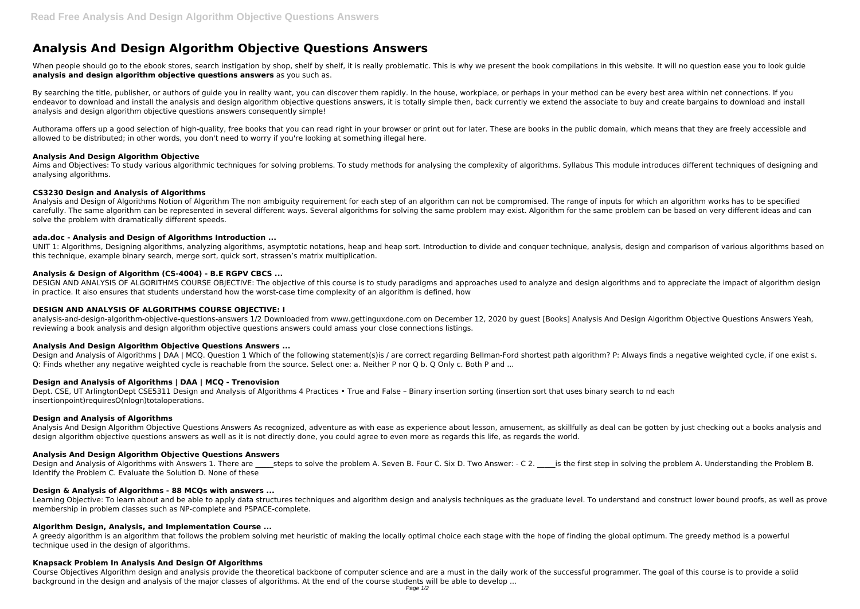# **Analysis And Design Algorithm Objective Questions Answers**

When people should go to the ebook stores, search instigation by shop, shelf by shelf, it is really problematic. This is why we present the book compilations in this website. It will no question ease you to look quide **analysis and design algorithm objective questions answers** as you such as.

By searching the title, publisher, or authors of quide you in reality want, you can discover them rapidly. In the house, workplace, or perhaps in your method can be every best area within net connections. If you endeavor to download and install the analysis and design algorithm objective questions answers, it is totally simple then, back currently we extend the associate to buy and create bargains to download and install analysis and design algorithm objective questions answers consequently simple!

Aims and Objectives: To study various algorithmic techniques for solving problems. To study methods for analysing the complexity of algorithms. Syllabus This module introduces different techniques of designing and analysing algorithms.

Authorama offers up a good selection of high-quality, free books that you can read right in your browser or print out for later. These are books in the public domain, which means that they are freely accessible and allowed to be distributed; in other words, you don't need to worry if you're looking at something illegal here.

UNIT 1: Algorithms, Designing algorithms, analyzing algorithms, asymptotic notations, heap and heap sort. Introduction to divide and conquer technique, analysis, design and comparison of various algorithms based on this technique, example binary search, merge sort, quick sort, strassen's matrix multiplication.

#### **Analysis And Design Algorithm Objective**

# **CS3230 Design and Analysis of Algorithms**

Design and Analysis of Algorithms | DAA | MCQ. Question 1 Which of the following statement(s)is / are correct regarding Bellman-Ford shortest path algorithm? P: Always finds a negative weighted cycle, if one exist s. Q: Finds whether any negative weighted cycle is reachable from the source. Select one: a. Neither P nor Q b. Q Only c. Both P and ...

Analysis and Design of Algorithms Notion of Algorithm The non ambiguity requirement for each step of an algorithm can not be compromised. The range of inputs for which an algorithm works has to be specified carefully. The same algorithm can be represented in several different ways. Several algorithms for solving the same problem may exist. Algorithm for the same problem can be based on very different ideas and can solve the problem with dramatically different speeds.

# **ada.doc - Analysis and Design of Algorithms Introduction ...**

Design and Analysis of Algorithms with Answers 1. There are steps to solve the problem A. Seven B. Four C. Six D. Two Answer: - C 2. is the first step in solving the problem A. Understanding the Problem B. Identify the Problem C. Evaluate the Solution D. None of these

# **Analysis & Design of Algorithm (CS-4004) - B.E RGPV CBCS ...**

A greedy algorithm is an algorithm that follows the problem solving met heuristic of making the locally optimal choice each stage with the hope of finding the global optimum. The greedy method is a powerful technique used in the design of algorithms.

DESIGN AND ANALYSIS OF ALGORITHMS COURSE OBJECTIVE: The objective of this course is to study paradigms and approaches used to analyze and design algorithms and to appreciate the impact of algorithm design in practice. It also ensures that students understand how the worst-case time complexity of an algorithm is defined, how

# **DESIGN AND ANALYSIS OF ALGORITHMS COURSE OBJECTIVE: I**

analysis-and-design-algorithm-objective-questions-answers 1/2 Downloaded from www.gettinguxdone.com on December 12, 2020 by guest [Books] Analysis And Design Algorithm Objective Questions Answers Yeah, reviewing a book analysis and design algorithm objective questions answers could amass your close connections listings.

#### **Analysis And Design Algorithm Objective Questions Answers ...**

#### **Design and Analysis of Algorithms | DAA | MCQ - Trenovision**

Dept. CSE, UT ArlingtonDept CSE5311 Design and Analysis of Algorithms 4 Practices • True and False – Binary insertion sorting (insertion sort that uses binary search to nd each insertionpoint)requiresO(nlogn)totaloperations.

#### **Design and Analysis of Algorithms**

Analysis And Design Algorithm Objective Questions Answers As recognized, adventure as with ease as experience about lesson, amusement, as skillfully as deal can be gotten by just checking out a books analysis and design algorithm objective questions answers as well as it is not directly done, you could agree to even more as regards this life, as regards the world.

#### **Analysis And Design Algorithm Objective Questions Answers**

#### **Design & Analysis of Algorithms - 88 MCQs with answers ...**

Learning Objective: To learn about and be able to apply data structures techniques and algorithm design and analysis techniques as the graduate level. To understand and construct lower bound proofs, as well as prove membership in problem classes such as NP-complete and PSPACE-complete.

#### **Algorithm Design, Analysis, and Implementation Course ...**

#### **Knapsack Problem In Analysis And Design Of Algorithms**

Course Objectives Algorithm design and analysis provide the theoretical backbone of computer science and are a must in the daily work of the successful programmer. The goal of this course is to provide a solid background in the design and analysis of the major classes of algorithms. At the end of the course students will be able to develop ...